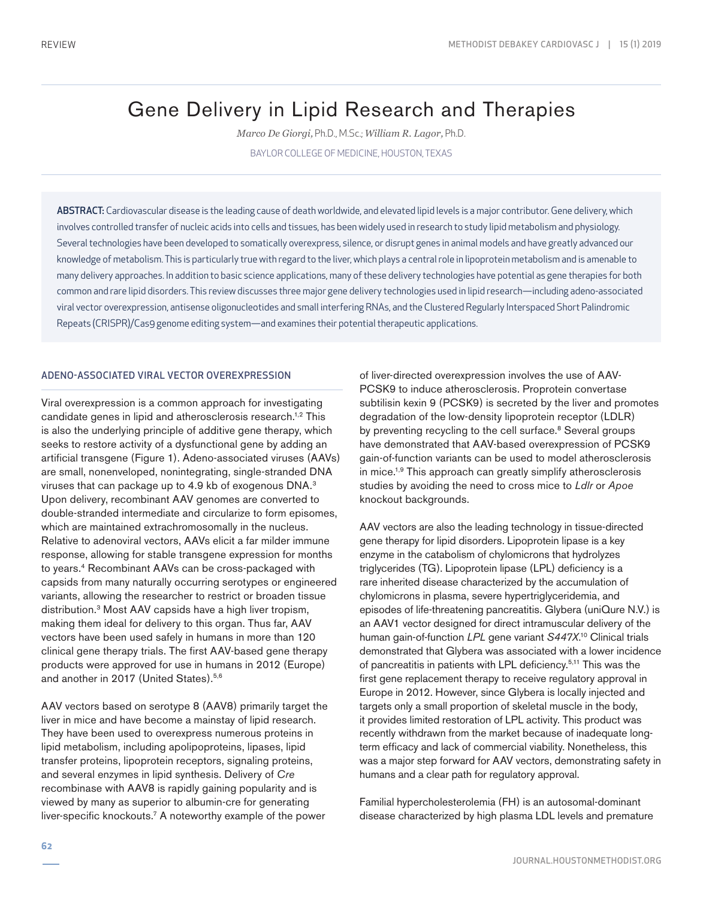# Gene Delivery in Lipid Research and Therapies

*Marco De Giorgi,* Ph.D., M.Sc.; *William R. Lagor,* Ph.D. BAYLOR COLLEGE OF MEDICINE, HOUSTON, TEXAS

ABSTRACT: Cardiovascular disease is the leading cause of death worldwide, and elevated lipid levels is a major contributor. Gene delivery, which involves controlled transfer of nucleic acids into cells and tissues, has been widely used in research to study lipid metabolism and physiology. Several technologies have been developed to somatically overexpress, silence, or disrupt genes in animal models and have greatly advanced our knowledge of metabolism. This is particularly true with regard to the liver, which plays a central role in lipoprotein metabolism and is amenable to many delivery approaches. In addition to basic science applications, many of these delivery technologies have potential as gene therapies for both common and rare lipid disorders. This review discusses three major gene delivery technologies used in lipid research—including adeno-associated viral vector overexpression, antisense oligonucleotides and small interfering RNAs, and the Clustered Regularly Interspaced Short Palindromic Repeats (CRISPR)/Cas9 genome editing system—and examines their potential therapeutic applications.

## ADENO-ASSOCIATED VIRAL VECTOR OVEREXPRESSION

Viral overexpression is a common approach for investigating candidate genes in lipid and atherosclerosis research.1,2 This is also the underlying principle of additive gene therapy, which seeks to restore activity of a dysfunctional gene by adding an artificial transgene (Figure 1). Adeno-associated viruses (AAVs) are small, nonenveloped, nonintegrating, single-stranded DNA viruses that can package up to 4.9 kb of exogenous DNA.3 Upon delivery, recombinant AAV genomes are converted to double-stranded intermediate and circularize to form episomes, which are maintained extrachromosomally in the nucleus. Relative to adenoviral vectors, AAVs elicit a far milder immune response, allowing for stable transgene expression for months to years.4 Recombinant AAVs can be cross-packaged with capsids from many naturally occurring serotypes or engineered variants, allowing the researcher to restrict or broaden tissue distribution.3 Most AAV capsids have a high liver tropism, making them ideal for delivery to this organ. Thus far, AAV vectors have been used safely in humans in more than 120 clinical gene therapy trials. The first AAV-based gene therapy products were approved for use in humans in 2012 (Europe) and another in 2017 (United States).5,6

AAV vectors based on serotype 8 (AAV8) primarily target the liver in mice and have become a mainstay of lipid research. They have been used to overexpress numerous proteins in lipid metabolism, including apolipoproteins, lipases, lipid transfer proteins, lipoprotein receptors, signaling proteins, and several enzymes in lipid synthesis. Delivery of *Cre* recombinase with AAV8 is rapidly gaining popularity and is viewed by many as superior to albumin-cre for generating liver-specific knockouts.7 A noteworthy example of the power

of liver-directed overexpression involves the use of AAV-PCSK9 to induce atherosclerosis. Proprotein convertase subtilisin kexin 9 (PCSK9) is secreted by the liver and promotes degradation of the low-density lipoprotein receptor (LDLR) by preventing recycling to the cell surface.<sup>8</sup> Several groups have demonstrated that AAV-based overexpression of PCSK9 gain-of-function variants can be used to model atherosclerosis in mice.<sup>1,9</sup> This approach can greatly simplify atherosclerosis studies by avoiding the need to cross mice to *Ldlr* or *Apoe* knockout backgrounds.

AAV vectors are also the leading technology in tissue-directed gene therapy for lipid disorders. Lipoprotein lipase is a key enzyme in the catabolism of chylomicrons that hydrolyzes triglycerides (TG). Lipoprotein lipase (LPL) deficiency is a rare inherited disease characterized by the accumulation of chylomicrons in plasma, severe hypertriglyceridemia, and episodes of life-threatening pancreatitis. Glybera (uniQure N.V.) is an AAV1 vector designed for direct intramuscular delivery of the human gain-of-function *LPL* gene variant *S447X*. 10 Clinical trials demonstrated that Glybera was associated with a lower incidence of pancreatitis in patients with LPL deficiency.5,11 This was the first gene replacement therapy to receive regulatory approval in Europe in 2012. However, since Glybera is locally injected and targets only a small proportion of skeletal muscle in the body, it provides limited restoration of LPL activity. This product was recently withdrawn from the market because of inadequate longterm efficacy and lack of commercial viability. Nonetheless, this was a major step forward for AAV vectors, demonstrating safety in humans and a clear path for regulatory approval.

Familial hypercholesterolemia (FH) is an autosomal-dominant disease characterized by high plasma LDL levels and premature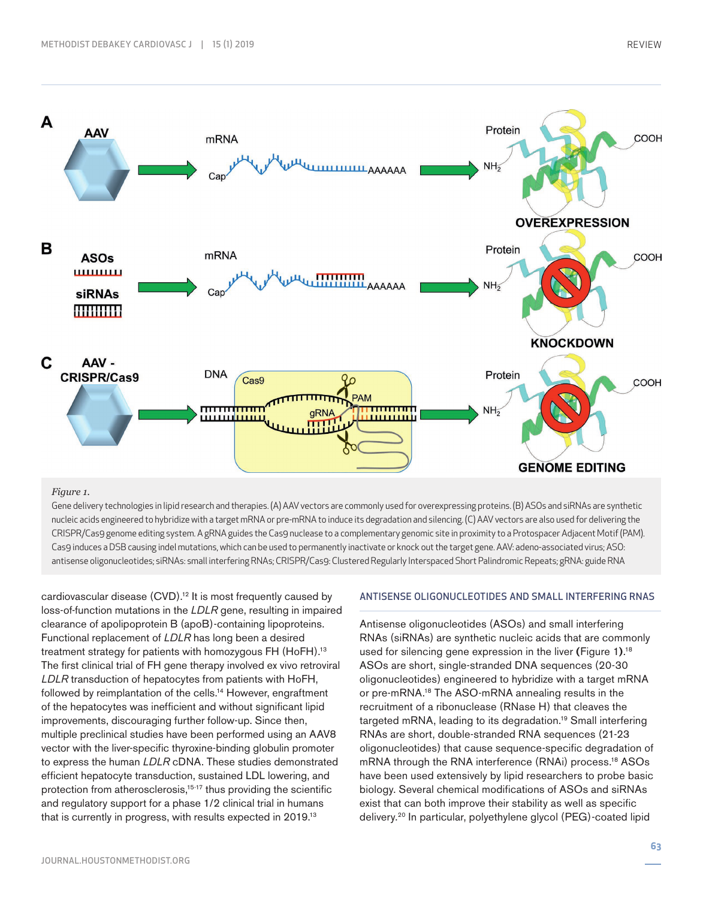

### *Figure 1.*

Gene delivery technologies in lipid research and therapies. (A) AAV vectors are commonly used for overexpressing proteins. (B) ASOs and siRNAs are synthetic nucleic acids engineered to hybridize with a target mRNA or pre-mRNA to induce its degradation and silencing. (C) AAV vectors are also used for delivering the CRISPR/Cas9 genome editing system. A gRNA guides the Cas9 nuclease to a complementary genomic site in proximity to a Protospacer Adjacent Motif (PAM). Cas9 induces a DSB causing indel mutations, which can be used to permanently inactivate or knock out the target gene. AAV: adeno-associated virus; ASO: antisense oligonucleotides; siRNAs: small interfering RNAs; CRISPR/Cas9: Clustered Regularly Interspaced Short Palindromic Repeats; gRNA: guide RNA

cardiovascular disease (CVD).<sup>12</sup> It is most frequently caused by loss-of-function mutations in the *LDLR* gene, resulting in impaired clearance of apolipoprotein B (apoB)-containing lipoproteins. Functional replacement of *LDLR* has long been a desired treatment strategy for patients with homozygous FH (HoFH).<sup>13</sup> The first clinical trial of FH gene therapy involved ex vivo retroviral *LDLR* transduction of hepatocytes from patients with HoFH, followed by reimplantation of the cells.<sup>14</sup> However, engraftment of the hepatocytes was inefficient and without significant lipid improvements, discouraging further follow-up. Since then, multiple preclinical studies have been performed using an AAV8 vector with the liver-specific thyroxine-binding globulin promoter to express the human *LDLR* cDNA. These studies demonstrated efficient hepatocyte transduction, sustained LDL lowering, and protection from atherosclerosis,<sup>15-17</sup> thus providing the scientific and regulatory support for a phase 1/2 clinical trial in humans that is currently in progress, with results expected in 2019.13

#### ANTISENSE OLIGONUCLEOTIDES AND SMALL INTERFERING RNAS

Antisense oligonucleotides (ASOs) and small interfering RNAs (siRNAs) are synthetic nucleic acids that are commonly used for silencing gene expression in the liver **(**Figure 1**)**. 18 ASOs are short, single-stranded DNA sequences (20-30 oligonucleotides) engineered to hybridize with a target mRNA or pre-mRNA.18 The ASO-mRNA annealing results in the recruitment of a ribonuclease (RNase H) that cleaves the targeted mRNA, leading to its degradation.19 Small interfering RNAs are short, double-stranded RNA sequences (21-23 oligonucleotides) that cause sequence-specific degradation of mRNA through the RNA interference (RNAi) process.<sup>18</sup> ASOs have been used extensively by lipid researchers to probe basic biology. Several chemical modifications of ASOs and siRNAs exist that can both improve their stability as well as specific delivery.20 In particular, polyethylene glycol (PEG)-coated lipid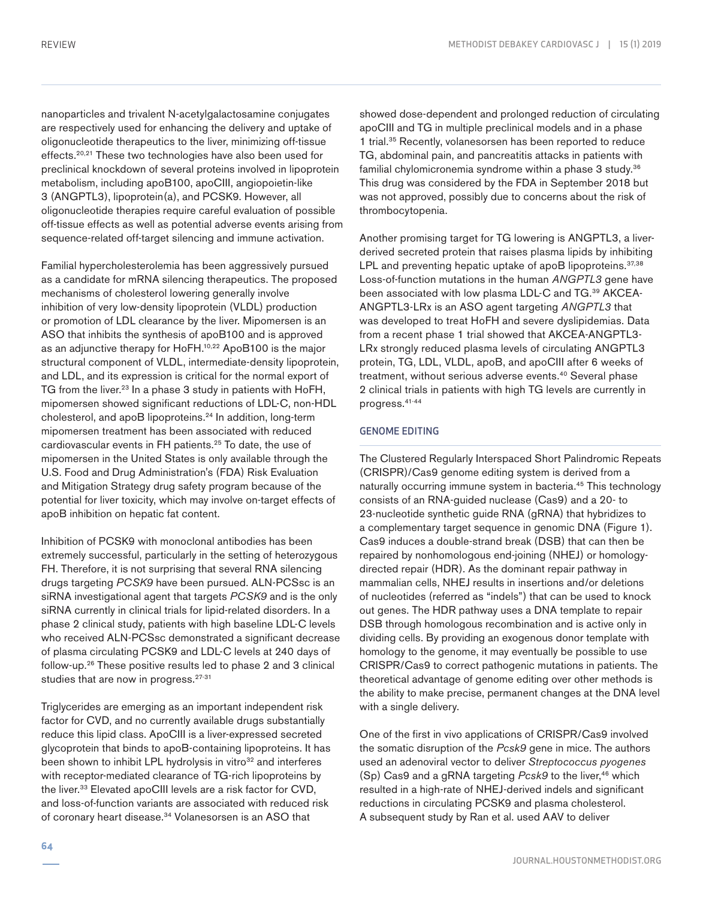nanoparticles and trivalent N-acetylgalactosamine conjugates are respectively used for enhancing the delivery and uptake of oligonucleotide therapeutics to the liver, minimizing off-tissue effects.<sup>20,21</sup> These two technologies have also been used for preclinical knockdown of several proteins involved in lipoprotein metabolism, including apoB100, apoCIII, angiopoietin-like 3 (ANGPTL3), lipoprotein(a), and PCSK9. However, all oligonucleotide therapies require careful evaluation of possible off-tissue effects as well as potential adverse events arising from sequence-related off-target silencing and immune activation.

Familial hypercholesterolemia has been aggressively pursued as a candidate for mRNA silencing therapeutics. The proposed mechanisms of cholesterol lowering generally involve inhibition of very low-density lipoprotein (VLDL) production or promotion of LDL clearance by the liver. Mipomersen is an ASO that inhibits the synthesis of apoB100 and is approved as an adjunctive therapy for HoFH.<sup>10,22</sup> ApoB100 is the major structural component of VLDL, intermediate-density lipoprotein, and LDL, and its expression is critical for the normal export of TG from the liver.<sup>23</sup> In a phase 3 study in patients with HoFH, mipomersen showed significant reductions of LDL-C, non-HDL cholesterol, and apoB lipoproteins.<sup>24</sup> In addition, long-term mipomersen treatment has been associated with reduced cardiovascular events in FH patients.25 To date, the use of mipomersen in the United States is only available through the U.S. Food and Drug Administration's (FDA) Risk Evaluation and Mitigation Strategy drug safety program because of the potential for liver toxicity, which may involve on-target effects of apoB inhibition on hepatic fat content.

Inhibition of PCSK9 with monoclonal antibodies has been extremely successful, particularly in the setting of heterozygous FH. Therefore, it is not surprising that several RNA silencing drugs targeting *PCSK9* have been pursued. ALN-PCSsc is an siRNA investigational agent that targets *PCSK9* and is the only siRNA currently in clinical trials for lipid-related disorders. In a phase 2 clinical study, patients with high baseline LDL-C levels who received ALN-PCSsc demonstrated a significant decrease of plasma circulating PCSK9 and LDL-C levels at 240 days of follow-up.26 These positive results led to phase 2 and 3 clinical studies that are now in progress.<sup>27-31</sup>

Triglycerides are emerging as an important independent risk factor for CVD, and no currently available drugs substantially reduce this lipid class. ApoCIII is a liver-expressed secreted glycoprotein that binds to apoB-containing lipoproteins. It has been shown to inhibit LPL hydrolysis in vitro<sup>32</sup> and interferes with receptor-mediated clearance of TG-rich lipoproteins by the liver.<sup>33</sup> Elevated apoCIII levels are a risk factor for CVD, and loss-of-function variants are associated with reduced risk of coronary heart disease.<sup>34</sup> Volanesorsen is an ASO that

showed dose-dependent and prolonged reduction of circulating apoCIII and TG in multiple preclinical models and in a phase 1 trial.<sup>35</sup> Recently, volanesorsen has been reported to reduce TG, abdominal pain, and pancreatitis attacks in patients with familial chylomicronemia syndrome within a phase 3 study.<sup>36</sup> This drug was considered by the FDA in September 2018 but was not approved, possibly due to concerns about the risk of thrombocytopenia.

Another promising target for TG lowering is ANGPTL3, a liverderived secreted protein that raises plasma lipids by inhibiting LPL and preventing hepatic uptake of apoB lipoproteins.<sup>37,38</sup> Loss-of-function mutations in the human *ANGPTL3* gene have been associated with low plasma LDL-C and TG.<sup>39</sup> AKCEA-ANGPTL3-LRx is an ASO agent targeting *ANGPTL3* that was developed to treat HoFH and severe dyslipidemias. Data from a recent phase 1 trial showed that AKCEA-ANGPTL3- LRx strongly reduced plasma levels of circulating ANGPTL3 protein, TG, LDL, VLDL, apoB, and apoCIII after 6 weeks of treatment, without serious adverse events.<sup>40</sup> Several phase 2 clinical trials in patients with high TG levels are currently in progress.41-44

# GENOME EDITING

The Clustered Regularly Interspaced Short Palindromic Repeats (CRISPR)/Cas9 genome editing system is derived from a naturally occurring immune system in bacteria.<sup>45</sup> This technology consists of an RNA-guided nuclease (Cas9) and a 20- to 23-nucleotide synthetic guide RNA (gRNA) that hybridizes to a complementary target sequence in genomic DNA (Figure 1). Cas9 induces a double-strand break (DSB) that can then be repaired by nonhomologous end-joining (NHEJ) or homologydirected repair (HDR). As the dominant repair pathway in mammalian cells, NHEJ results in insertions and/or deletions of nucleotides (referred as "indels") that can be used to knock out genes. The HDR pathway uses a DNA template to repair DSB through homologous recombination and is active only in dividing cells. By providing an exogenous donor template with homology to the genome, it may eventually be possible to use CRISPR/Cas9 to correct pathogenic mutations in patients. The theoretical advantage of genome editing over other methods is the ability to make precise, permanent changes at the DNA level with a single delivery.

One of the first in vivo applications of CRISPR/Cas9 involved the somatic disruption of the *Pcsk9* gene in mice. The authors used an adenoviral vector to deliver *Streptococcus pyogenes* (Sp) Cas9 and a gRNA targeting *Pcsk9* to the liver,<sup>46</sup> which resulted in a high-rate of NHEJ-derived indels and significant reductions in circulating PCSK9 and plasma cholesterol. A subsequent study by Ran et al. used AAV to deliver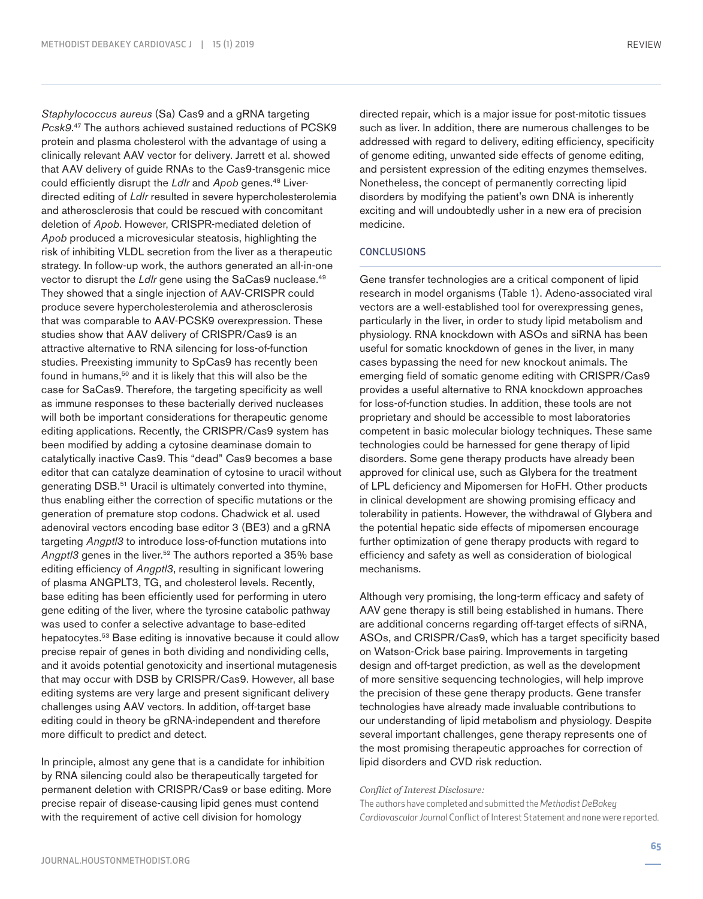*Staphylococcus aureus* (Sa) Cas9 and a gRNA targeting *Pcsk9*. 47 The authors achieved sustained reductions of PCSK9 protein and plasma cholesterol with the advantage of using a clinically relevant AAV vector for delivery. Jarrett et al. showed that AAV delivery of guide RNAs to the Cas9-transgenic mice could efficiently disrupt the *Ldlr* and *Apob* genes.<sup>48</sup> Liverdirected editing of *Ldlr* resulted in severe hypercholesterolemia and atherosclerosis that could be rescued with concomitant deletion of *Apob*. However, CRISPR-mediated deletion of *Apob* produced a microvesicular steatosis, highlighting the risk of inhibiting VLDL secretion from the liver as a therapeutic strategy. In follow-up work, the authors generated an all-in-one vector to disrupt the *LdIr* gene using the SaCas9 nuclease.<sup>49</sup> They showed that a single injection of AAV-CRISPR could produce severe hypercholesterolemia and atherosclerosis that was comparable to AAV-PCSK9 overexpression. These studies show that AAV delivery of CRISPR/Cas9 is an attractive alternative to RNA silencing for loss-of-function studies. Preexisting immunity to SpCas9 has recently been found in humans,<sup>50</sup> and it is likely that this will also be the case for SaCas9. Therefore, the targeting specificity as well as immune responses to these bacterially derived nucleases will both be important considerations for therapeutic genome editing applications. Recently, the CRISPR/Cas9 system has been modified by adding a cytosine deaminase domain to catalytically inactive Cas9. This "dead" Cas9 becomes a base editor that can catalyze deamination of cytosine to uracil without generating DSB.<sup>51</sup> Uracil is ultimately converted into thymine, thus enabling either the correction of specific mutations or the generation of premature stop codons. Chadwick et al. used adenoviral vectors encoding base editor 3 (BE3) and a gRNA targeting *Angptl3* to introduce loss-of-function mutations into Angpt/3 genes in the liver.<sup>52</sup> The authors reported a 35% base editing efficiency of *Angptl3*, resulting in significant lowering of plasma ANGPLT3, TG, and cholesterol levels. Recently, base editing has been efficiently used for performing in utero gene editing of the liver, where the tyrosine catabolic pathway was used to confer a selective advantage to base-edited hepatocytes.<sup>53</sup> Base editing is innovative because it could allow precise repair of genes in both dividing and nondividing cells, and it avoids potential genotoxicity and insertional mutagenesis that may occur with DSB by CRISPR/Cas9. However, all base editing systems are very large and present significant delivery challenges using AAV vectors. In addition, off-target base editing could in theory be gRNA-independent and therefore more difficult to predict and detect.

In principle, almost any gene that is a candidate for inhibition by RNA silencing could also be therapeutically targeted for permanent deletion with CRISPR/Cas9 or base editing. More precise repair of disease-causing lipid genes must contend with the requirement of active cell division for homology

directed repair, which is a major issue for post-mitotic tissues such as liver. In addition, there are numerous challenges to be addressed with regard to delivery, editing efficiency, specificity of genome editing, unwanted side effects of genome editing, and persistent expression of the editing enzymes themselves. Nonetheless, the concept of permanently correcting lipid disorders by modifying the patient's own DNA is inherently exciting and will undoubtedly usher in a new era of precision medicine.

## **CONCLUSIONS**

Gene transfer technologies are a critical component of lipid research in model organisms (Table 1). Adeno-associated viral vectors are a well-established tool for overexpressing genes, particularly in the liver, in order to study lipid metabolism and physiology. RNA knockdown with ASOs and siRNA has been useful for somatic knockdown of genes in the liver, in many cases bypassing the need for new knockout animals. The emerging field of somatic genome editing with CRISPR/Cas9 provides a useful alternative to RNA knockdown approaches for loss-of-function studies. In addition, these tools are not proprietary and should be accessible to most laboratories competent in basic molecular biology techniques. These same technologies could be harnessed for gene therapy of lipid disorders. Some gene therapy products have already been approved for clinical use, such as Glybera for the treatment of LPL deficiency and Mipomersen for HoFH. Other products in clinical development are showing promising efficacy and tolerability in patients. However, the withdrawal of Glybera and the potential hepatic side effects of mipomersen encourage further optimization of gene therapy products with regard to efficiency and safety as well as consideration of biological mechanisms.

Although very promising, the long-term efficacy and safety of AAV gene therapy is still being established in humans. There are additional concerns regarding off-target effects of siRNA, ASOs, and CRISPR/Cas9, which has a target specificity based on Watson-Crick base pairing. Improvements in targeting design and off-target prediction, as well as the development of more sensitive sequencing technologies, will help improve the precision of these gene therapy products. Gene transfer technologies have already made invaluable contributions to our understanding of lipid metabolism and physiology. Despite several important challenges, gene therapy represents one of the most promising therapeutic approaches for correction of lipid disorders and CVD risk reduction.

#### *Conflict of Interest Disclosure:*

The authors have completed and submitted the *Methodist DeBakey Cardiovascular Journal* Conflict of Interest Statement and none were reported.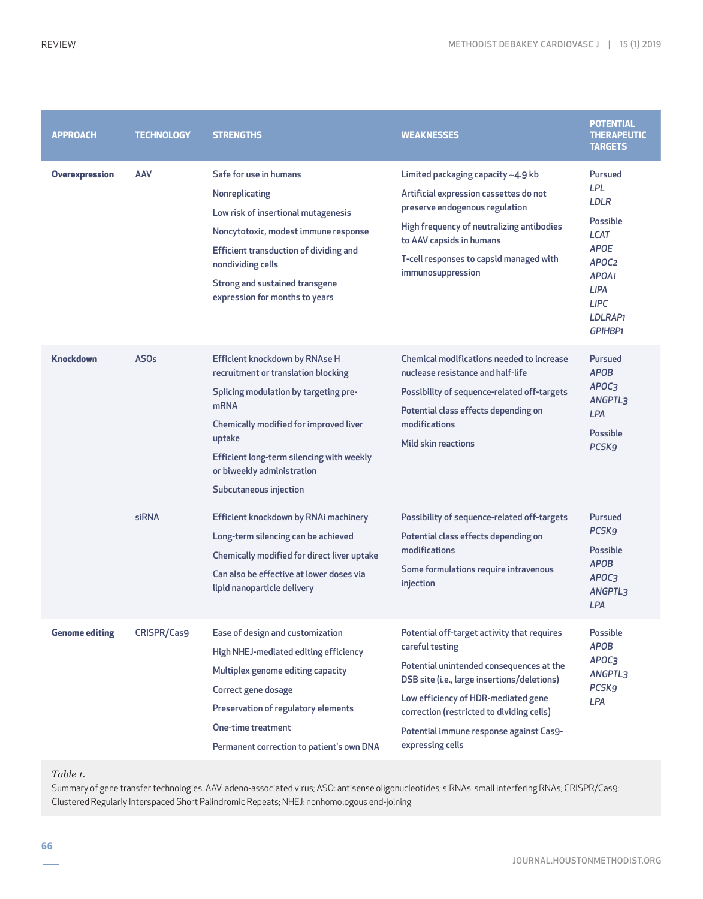| <b>APPROACH</b>       | <b>TECHNOLOGY</b> | <b>STRENGTHS</b>                                                                                                                                                                                                                                                                | <b>WEAKNESSES</b>                                                                                                                                                                                                                                                                                            | <b>POTENTIAL</b><br><b>THERAPEUTIC</b><br><b>TARGETS</b>                                                                                                                                 |
|-----------------------|-------------------|---------------------------------------------------------------------------------------------------------------------------------------------------------------------------------------------------------------------------------------------------------------------------------|--------------------------------------------------------------------------------------------------------------------------------------------------------------------------------------------------------------------------------------------------------------------------------------------------------------|------------------------------------------------------------------------------------------------------------------------------------------------------------------------------------------|
| <b>Overexpression</b> | AAV               | Safe for use in humans<br>Nonreplicating<br>Low risk of insertional mutagenesis<br>Noncytotoxic, modest immune response<br>Efficient transduction of dividing and<br>nondividing cells<br>Strong and sustained transgene<br>expression for months to years                      | Limited packaging capacity ~4.9 kb<br>Artificial expression cassettes do not<br>preserve endogenous regulation<br>High frequency of neutralizing antibodies<br>to AAV capsids in humans<br>T-cell responses to capsid managed with<br>immunosuppression                                                      | Pursued<br><b>LPL</b><br>LDLR<br>Possible<br><b>LCAT</b><br><b>APOE</b><br>APOC <sub>2</sub><br>APOA <sub>1</sub><br><b>LIPA</b><br><b>LIPC</b><br>LDLRAP <sub>1</sub><br><b>GPIHBP1</b> |
| <b>Knockdown</b>      | AS <sub>Os</sub>  | Efficient knockdown by RNAse H<br>recruitment or translation blocking<br>Splicing modulation by targeting pre-<br>mRNA<br>Chemically modified for improved liver<br>uptake<br>Efficient long-term silencing with weekly<br>or biweekly administration<br>Subcutaneous injection | <b>Chemical modifications needed to increase</b><br>nuclease resistance and half-life<br>Possibility of sequence-related off-targets<br>Potential class effects depending on<br>modifications<br>Mild skin reactions                                                                                         | Pursued<br><b>APOB</b><br>APOC3<br>ANGPTL3<br><b>LPA</b><br><b>Possible</b><br><b>PCSK9</b>                                                                                              |
|                       | siRNA             | Efficient knockdown by RNAi machinery<br>Long-term silencing can be achieved<br>Chemically modified for direct liver uptake<br>Can also be effective at lower doses via<br>lipid nanoparticle delivery                                                                          | Possibility of sequence-related off-targets<br>Potential class effects depending on<br>modifications<br>Some formulations require intravenous<br>injection                                                                                                                                                   | Pursued<br><b>PCSK9</b><br>Possible<br><b>APOB</b><br>APOC3<br>ANGPTL3<br><b>LPA</b>                                                                                                     |
| <b>Genome editing</b> | CRISPR/Cas9       | Ease of design and customization<br>High NHEJ-mediated editing efficiency<br>Multiplex genome editing capacity<br>Correct gene dosage<br>Preservation of regulatory elements<br><b>One-time treatment</b><br>Permanent correction to patient's own DNA                          | Potential off-target activity that requires<br>careful testing<br>Potential unintended consequences at the<br>DSB site (i.e., large insertions/deletions)<br>Low efficiency of HDR-mediated gene<br>correction (restricted to dividing cells)<br>Potential immune response against Cas9-<br>expressing cells | Possible<br><b>APOB</b><br>APOC3<br>ANGPTL3<br><b>PCSK9</b><br>LPA                                                                                                                       |

*Table 1.* 

Summary of gene transfer technologies. AAV: adeno-associated virus; ASO: antisense oligonucleotides; siRNAs: small interfering RNAs; CRISPR/Cas9: Clustered Regularly Interspaced Short Palindromic Repeats; NHEJ: nonhomologous end-joining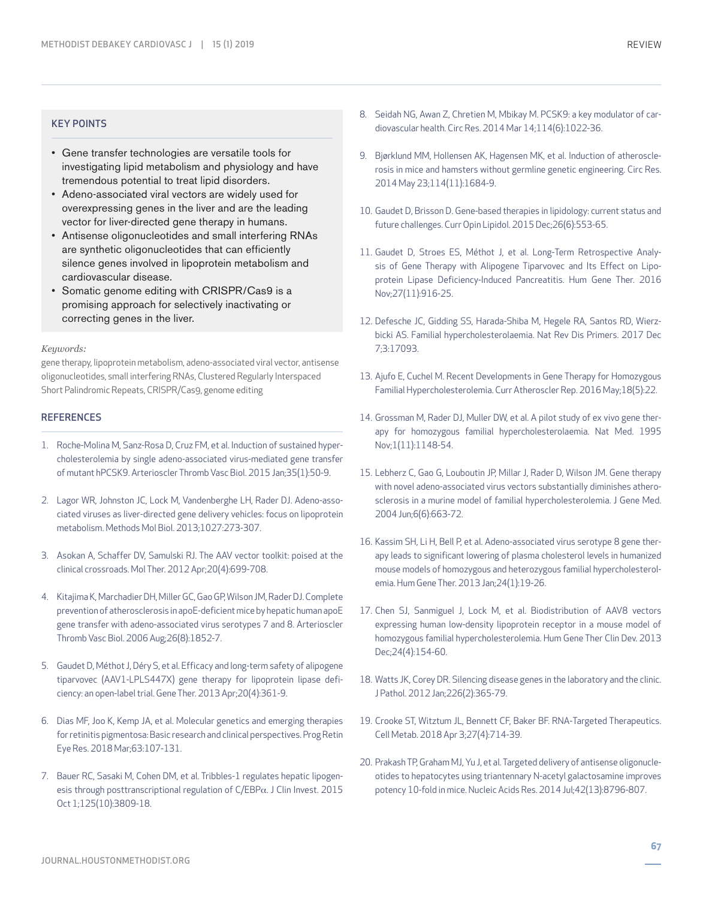#### KEY POINTS

- Gene transfer technologies are versatile tools for investigating lipid metabolism and physiology and have tremendous potential to treat lipid disorders.
- Adeno-associated viral vectors are widely used for overexpressing genes in the liver and are the leading vector for liver-directed gene therapy in humans.
- Antisense oligonucleotides and small interfering RNAs are synthetic oligonucleotides that can efficiently silence genes involved in lipoprotein metabolism and cardiovascular disease.
- Somatic genome editing with CRISPR/Cas9 is a promising approach for selectively inactivating or correcting genes in the liver.

#### *Keywords:*

gene therapy, lipoprotein metabolism, adeno-associated viral vector, antisense oligonucleotides, small interfering RNAs, Clustered Regularly Interspaced Short Palindromic Repeats, CRISPR/Cas9, genome editing

## **REFERENCES**

- 1. Roche-Molina M, Sanz-Rosa D, Cruz FM, et al. Induction of sustained hypercholesterolemia by single adeno-associated virus-mediated gene transfer of mutant hPCSK9. Arterioscler Thromb Vasc Biol. 2015 Jan;35(1):50-9.
- 2. Lagor WR, Johnston JC, Lock M, Vandenberghe LH, Rader DJ. Adeno-associated viruses as liver-directed gene delivery vehicles: focus on lipoprotein metabolism. Methods Mol Biol. 2013;1027:273-307.
- 3. Asokan A, Schaffer DV, Samulski RJ. The AAV vector toolkit: poised at the clinical crossroads. Mol Ther. 2012 Apr;20(4):699-708.
- 4. Kitajima K, Marchadier DH, Miller GC, Gao GP, Wilson JM, Rader DJ. Complete prevention of atherosclerosis in apoE-deficient mice by hepatic human apoE gene transfer with adeno-associated virus serotypes 7 and 8. Arterioscler Thromb Vasc Biol. 2006 Aug;26(8):1852-7.
- 5. Gaudet D, Méthot J, Déry S, et al. Efficacy and long-term safety of alipogene tiparvovec (AAV1-LPLS447X) gene therapy for lipoprotein lipase deficiency: an open-label trial. Gene Ther. 2013 Apr;20(4):361-9.
- 6. Dias MF, Joo K, Kemp JA, et al. Molecular genetics and emerging therapies for retinitis pigmentosa: Basic research and clinical perspectives. Prog Retin Eye Res. 2018 Mar;63:107-131.
- 7. Bauer RC, Sasaki M, Cohen DM, et al. Tribbles-1 regulates hepatic lipogenesis through posttranscriptional regulation of C/EBPα. J Clin Invest. 2015 Oct 1;125(10):3809-18.
- 8. Seidah NG, Awan Z, Chretien M, Mbikay M. PCSK9: a key modulator of cardiovascular health. Circ Res. 2014 Mar 14;114(6):1022-36.
- 9. Bjørklund MM, Hollensen AK, Hagensen MK, et al. Induction of atherosclerosis in mice and hamsters without germline genetic engineering. Circ Res. 2014 May 23;114(11):1684-9.
- 10. Gaudet D, Brisson D. Gene-based therapies in lipidology: current status and future challenges. Curr Opin Lipidol. 2015 Dec;26(6):553-65.
- 11. Gaudet D, Stroes ES, Méthot J, et al. Long-Term Retrospective Analysis of Gene Therapy with Alipogene Tiparvovec and Its Effect on Lipoprotein Lipase Deficiency-Induced Pancreatitis. Hum Gene Ther. 2016 Nov;27(11):916-25.
- 12. Defesche JC, Gidding SS, Harada-Shiba M, Hegele RA, Santos RD, Wierzbicki AS. Familial hypercholesterolaemia. Nat Rev Dis Primers. 2017 Dec 7;3:17093.
- 13. Ajufo E, Cuchel M. Recent Developments in Gene Therapy for Homozygous Familial Hypercholesterolemia. Curr Atheroscler Rep. 2016 May;18(5):22.
- 14. Grossman M, Rader DJ, Muller DW, et al. A pilot study of ex vivo gene therapy for homozygous familial hypercholesterolaemia. Nat Med. 1995 Nov;1(11):1148-54.
- 15. Lebherz C, Gao G, Louboutin JP, Millar J, Rader D, Wilson JM. Gene therapy with novel adeno-associated virus vectors substantially diminishes atherosclerosis in a murine model of familial hypercholesterolemia. J Gene Med. 2004 Jun;6(6):663-72.
- 16. Kassim SH, Li H, Bell P, et al. Adeno-associated virus serotype 8 gene therapy leads to significant lowering of plasma cholesterol levels in humanized mouse models of homozygous and heterozygous familial hypercholesterolemia. Hum Gene Ther. 2013 Jan;24(1):19-26.
- 17. Chen SJ, Sanmiguel J, Lock M, et al. Biodistribution of AAV8 vectors expressing human low-density lipoprotein receptor in a mouse model of homozygous familial hypercholesterolemia. Hum Gene Ther Clin Dev. 2013 Dec;24(4):154-60.
- 18. Watts JK, Corey DR. Silencing disease genes in the laboratory and the clinic. J Pathol. 2012 Jan;226(2):365-79.
- 19. Crooke ST, Witztum JL, Bennett CF, Baker BF. RNA-Targeted Therapeutics. Cell Metab. 2018 Apr 3;27(4):714-39.
- 20. Prakash TP, Graham MJ, Yu J, et al. Targeted delivery of antisense oligonucleotides to hepatocytes using triantennary N-acetyl galactosamine improves potency 10-fold in mice. Nucleic Acids Res. 2014 Jul;42(13):8796-807.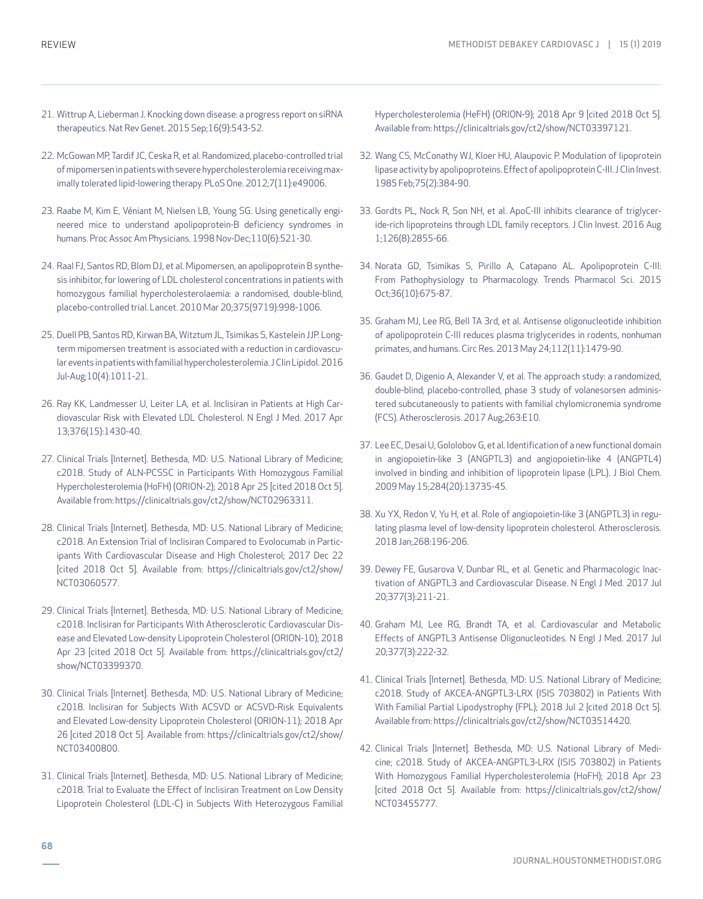- 21. Wittrup A, Lieberman J. Knocking down disease: a progress report on siRNA therapeutics. Nat Rev Genet. 2015 Sep;16(9):543-52.
- 22. McGowan MP, Tardif JC, Ceska R, et al. Randomized, placebo-controlled trial of mipomersen in patients with severe hypercholesterolemia receiving maximally tolerated lipid-lowering therapy. PLoS One. 2012;7(11):e49006.
- 23. Raabe M, Kim E, Véniant M, Nielsen LB, Young SG. Using genetically engineered mice to understand apolipoprotein-B deficiency syndromes in humans. Proc Assoc Am Physicians. 1998 Nov-Dec;110(6):521-30.
- 24. Raal FJ, Santos RD, Blom DJ, et al. Mipomersen, an apolipoprotein B synthesis inhibitor, for lowering of LDL cholesterol concentrations in patients with homozygous familial hypercholesterolaemia: a randomised, double-blind, placebo-controlled trial. Lancet. 2010 Mar 20;375(9719):998-1006.
- 25. Duell PB, Santos RD, Kirwan BA, Witztum JL, Tsimikas S, Kastelein JJP. Longterm mipomersen treatment is associated with a reduction in cardiovascular events in patients with familial hypercholesterolemia. J Clin Lipidol. 2016 Jul-Aug;10(4):1011-21.
- 26. Ray KK, Landmesser U, Leiter LA, et al. Inclisiran in Patients at High Cardiovascular Risk with Elevated LDL Cholesterol. N Engl J Med. 2017 Apr 13;376(15):1430-40.
- 27. Clinical Trials [Internet]. Bethesda, MD: U.S. National Library of Medicine; c2018. Study of ALN-PCSSC in Participants With Homozygous Familial Hypercholesterolemia (HoFH) (ORION-2); 2018 Apr 25 [cited 2018 Oct 5]. Available from: https://clinicaltrials.gov/ct2/show/NCT02963311.
- 28. Clinical Trials [Internet]. Bethesda, MD: U.S. National Library of Medicine; c2018. An Extension Trial of Inclisiran Compared to Evolocumab in Participants With Cardiovascular Disease and High Cholesterol; 2017 Dec 22 [cited 2018 Oct 5]. Available from: https://clinicaltrials.gov/ct2/show/ NCT03060577.
- 29. Clinical Trials [Internet]. Bethesda, MD: U.S. National Library of Medicine; c2018. Inclisiran for Participants With Atherosclerotic Cardiovascular Disease and Elevated Low-density Lipoprotein Cholesterol (ORION-10); 2018 Apr 23 [cited 2018 Oct 5]. Available from: https://clinicaltrials.gov/ct2/ show/NCT03399370.
- 30. Clinical Trials [Internet]. Bethesda, MD: U.S. National Library of Medicine; c2018. Inclisiran for Subjects With ACSVD or ACSVD-Risk Equivalents and Elevated Low-density Lipoprotein Cholesterol (ORION-11); 2018 Apr 26 [cited 2018 Oct 5]. Available from: https://clinicaltrials.gov/ct2/show/ NCT03400800.
- 31. Clinical Trials [Internet]. Bethesda, MD: U.S. National Library of Medicine; c2018. Trial to Evaluate the Effect of Inclisiran Treatment on Low Density Lipoprotein Cholesterol (LDL-C) in Subjects With Heterozygous Familial

Hypercholesterolemia (HeFH) (ORION-9); 2018 Apr 9 [cited 2018 Oct 5]. Available from: https://clinicaltrials.gov/ct2/show/NCT03397121.

- 32. Wang CS, McConathy WJ, Kloer HU, Alaupovic P. Modulation of lipoprotein lipase activity by apolipoproteins. Effect of apolipoprotein C-III. J Clin Invest. 1985 Feb;75(2):384-90.
- 33. Gordts PL, Nock R, Son NH, et al. ApoC-III inhibits clearance of triglyceride-rich lipoproteins through LDL family receptors. J Clin Invest. 2016 Aug 1;126(8):2855-66.
- 34. Norata GD, Tsimikas S, Pirillo A, Catapano AL. Apolipoprotein C-III: From Pathophysiology to Pharmacology. Trends Pharmacol Sci. 2015 Oct;36(10):675-87.
- 35. Graham MJ, Lee RG, Bell TA 3rd, et al. Antisense oligonucleotide inhibition of apolipoprotein C-III reduces plasma triglycerides in rodents, nonhuman primates, and humans. Circ Res. 2013 May 24;112(11):1479-90.
- 36. Gaudet D, Digenio A, Alexander V, et al. The approach study: a randomized, double-blind, placebo-controlled, phase 3 study of volanesorsen administered subcutaneously to patients with familial chylomicronemia syndrome (FCS). Atherosclerosis. 2017 Aug;263:E10.
- 37. Lee EC, Desai U, Gololobov G, et al. Identification of a new functional domain in angiopoietin-like 3 (ANGPTL3) and angiopoietin-like 4 (ANGPTL4) involved in binding and inhibition of lipoprotein lipase (LPL). J Biol Chem. 2009 May 15;284(20):13735-45.
- 38. Xu YX, Redon V, Yu H, et al. Role of angiopoietin-like 3 (ANGPTL3) in regulating plasma level of low-density lipoprotein cholesterol. Atherosclerosis. 2018 Jan;268:196-206.
- 39. Dewey FE, Gusarova V, Dunbar RL, et al. Genetic and Pharmacologic Inactivation of ANGPTL3 and Cardiovascular Disease. N Engl J Med. 2017 Jul 20;377(3):211-21.
- 40. Graham MJ, Lee RG, Brandt TA, et al. Cardiovascular and Metabolic Effects of ANGPTL3 Antisense Oligonucleotides. N Engl J Med. 2017 Jul 20;377(3):222-32.
- 41. Clinical Trials [Internet]. Bethesda, MD: U.S. National Library of Medicine; c2018. Study of AKCEA-ANGPTL3-LRX (ISIS 703802) in Patients With With Familial Partial Lipodystrophy (FPL); 2018 Jul 2 {cited 2018 Oct 5]. Available from: https://clinicaltrials.gov/ct2/show/NCT03514420.
- 42. Clinical Trials [Internet]. Bethesda, MD: U.S. National Library of Medicine; c2018. Study of AKCEA-ANGPTL3-LRX (ISIS 703802) in Patients With Homozygous Familial Hypercholesterolemia (HoFH); 2018 Apr 23 [cited 2018 Oct 5]. Available from: https://clinicaltrials.gov/ct2/show/ NCT03455777.